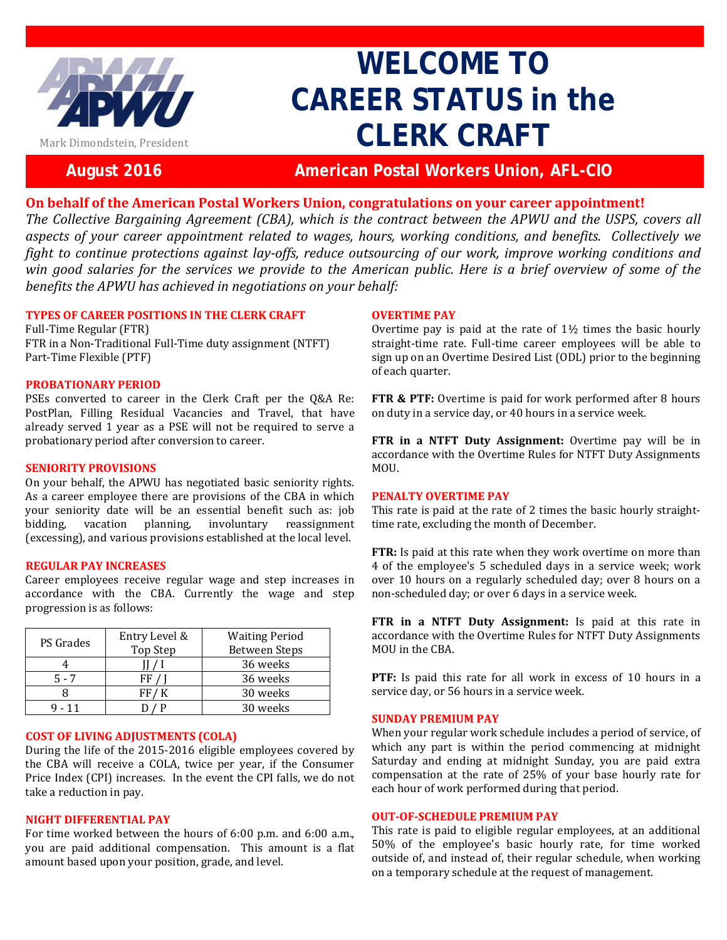

# **WELCOME TO CAREER STATUS in the CLERK CRAFT**

## **August 2016 American Postal Workers Union, AFL-CIO**

### **On behalf of the American Postal Workers Union, congratulations on your career appointment!**

*The Collective Bargaining Agreement (CBA), which is the contract between the APWU and the USPS, covers all aspects of your career appointment related to wages, hours, working conditions, and benefits. Collectively we fight to continue protections against lay-offs, reduce outsourcing of our work, improve working conditions and win good salaries for the services we provide to the American public. Here is a brief overview of some of the benefits the APWU has achieved in negotiations on your behalf:*

#### **TYPES OF CAREER POSITIONS IN THE CLERK CRAFT**

Full-Time Regular (FTR) FTR in a Non-Traditional Full-Time duty assignment (NTFT) Part-Time Flexible (PTF)

#### **PROBATIONARY PERIOD**

PSEs converted to career in the Clerk Craft per the Q&A Re: PostPlan, Filling Residual Vacancies and Travel, that have already served 1 year as a PSE will not be required to serve a probationary period after conversion to career.

#### **SENIORITY PROVISIONS**

On your behalf, the APWU has negotiated basic seniority rights. As a career employee there are provisions of the CBA in which your seniority date will be an essential benefit such as: job<br>bidding, vacation planning, involuntary reassignment planning, involuntary reassignment (excessing), and various provisions established at the local level.

#### **REGULAR PAY INCREASES**

Career employees receive regular wage and step increases in accordance with the CBA. Currently the wage and step progression is as follows:

| <b>PS</b> Grades | Entry Level & | <b>Waiting Period</b> |
|------------------|---------------|-----------------------|
|                  | Top Step      | <b>Between Steps</b>  |
|                  |               | 36 weeks              |
| $5 - 7$          |               | 36 weeks              |
|                  |               | 30 weeks              |
| $9 - 11$         |               | 30 weeks              |

#### **COST OF LIVING ADJUSTMENTS (COLA)**

During the life of the 2015-2016 eligible employees covered by the CBA will receive a COLA, twice per year, if the Consumer Price Index (CPI) increases. In the event the CPI falls, we do not take a reduction in pay.

#### **NIGHT DIFFERENTIAL PAY**

For time worked between the hours of 6:00 p.m. and 6:00 a.m., you are paid additional compensation. This amount is a flat amount based upon your position, grade, and level.

#### **OVERTIME PAY**

Overtime pay is paid at the rate of  $1\frac{1}{2}$  times the basic hourly straight-time rate. Full-time career employees will be able to sign up on an Overtime Desired List (ODL) prior to the beginning of each quarter.

**FTR & PTF:** Overtime is paid for work performed after 8 hours on duty in a service day, or 40 hours in a service week.

**FTR in a NTFT Duty Assignment:** Overtime pay will be in accordance with the Overtime Rules for NTFT Duty Assignments MOU.

#### **PENALTY OVERTIME PAY**

This rate is paid at the rate of 2 times the basic hourly straighttime rate, excluding the month of December.

**FTR:** Is paid at this rate when they work overtime on more than 4 of the employee's 5 scheduled days in a service week; work over 10 hours on a regularly scheduled day; over 8 hours on a non-scheduled day; or over 6 days in a service week.

**FTR in a NTFT Duty Assignment:** Is paid at this rate in accordance with the Overtime Rules for NTFT Duty Assignments MOU in the CBA.

**PTF:** Is paid this rate for all work in excess of 10 hours in a service day, or 56 hours in a service week.

#### **SUNDAY PREMIUM PAY**

When your regular work schedule includes a period of service, of which any part is within the period commencing at midnight Saturday and ending at midnight Sunday, you are paid extra compensation at the rate of 25% of your base hourly rate for each hour of work performed during that period.

#### **OUT-OF-SCHEDULE PREMIUM PAY**

This rate is paid to eligible regular employees, at an additional 50% of the employee's basic hourly rate, for time worked outside of, and instead of, their regular schedule, when working on a temporary schedule at the request of management.